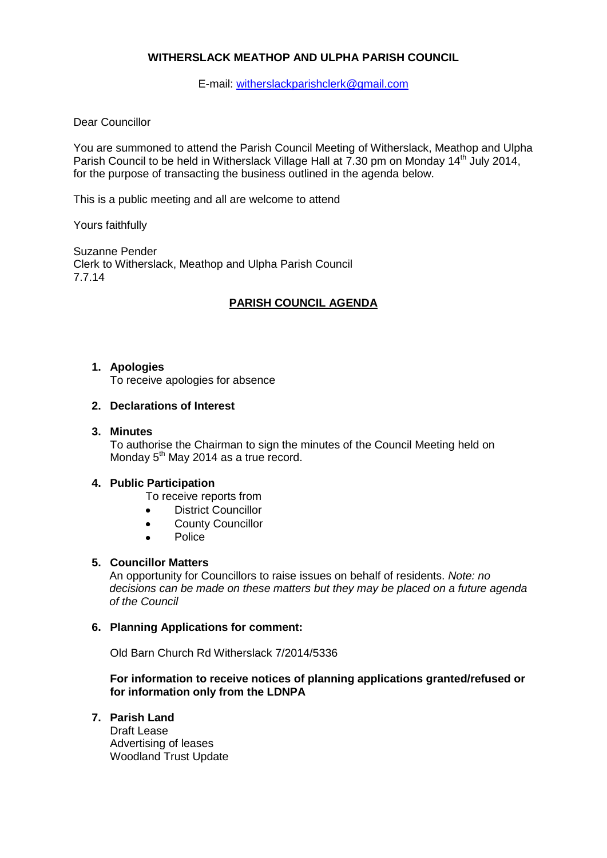## **WITHERSLACK MEATHOP AND ULPHA PARISH COUNCIL**

E-mail: [witherslackparishclerk@gmail.com](mailto:witherslackparishclerk@gmail.com)

### Dear Councillor

You are summoned to attend the Parish Council Meeting of Witherslack, Meathop and Ulpha Parish Council to be held in Witherslack Village Hall at 7.30 pm on Monday 14<sup>th</sup> July 2014, for the purpose of transacting the business outlined in the agenda below.

This is a public meeting and all are welcome to attend

Yours faithfully

Suzanne Pender Clerk to Witherslack, Meathop and Ulpha Parish Council 7.7.14

## **PARISH COUNCIL AGENDA**

### **1. Apologies**

To receive apologies for absence

### **2. Declarations of Interest**

#### **3. Minutes**

To authorise the Chairman to sign the minutes of the Council Meeting held on Monday  $5<sup>th</sup>$  May 2014 as a true record.

### **4. Public Participation**

- To receive reports from
- District Councillor  $\bullet$
- County Councillor  $\bullet$
- Police  $\bullet$

### **5. Councillor Matters**

An opportunity for Councillors to raise issues on behalf of residents. *Note: no decisions can be made on these matters but they may be placed on a future agenda of the Council*

### **6. Planning Applications for comment:**

Old Barn Church Rd Witherslack 7/2014/5336

**For information to receive notices of planning applications granted/refused or for information only from the LDNPA**

**7. Parish Land**

Draft Lease Advertising of leases Woodland Trust Update